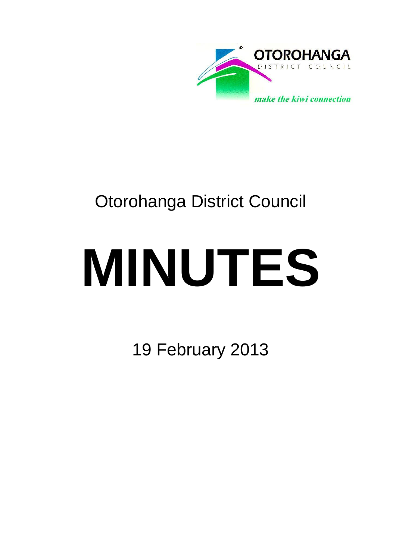

## Otorohanga District Council

# **MINUTES**

19 February 2013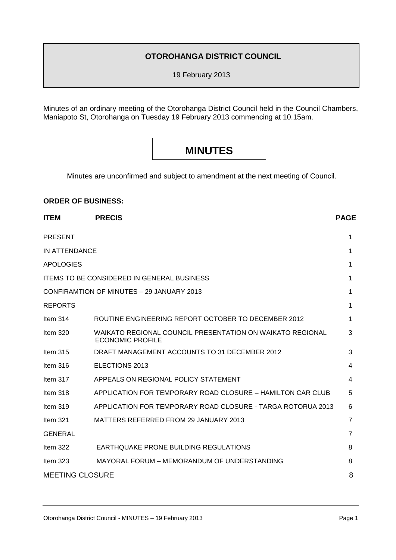#### **OTOROHANGA DISTRICT COUNCIL**

19 February 2013

Minutes of an ordinary meeting of the Otorohanga District Council held in the Council Chambers, Maniapoto St, Otorohanga on Tuesday 19 February 2013 commencing at 10.15am.

### **MINUTES**

Minutes are unconfirmed and subject to amendment at the next meeting of Council.

#### **ORDER OF BUSINESS:**

| <b>ITEM</b>                                       | <b>PRECIS</b>                                                                        | <b>PAGE</b> |
|---------------------------------------------------|--------------------------------------------------------------------------------------|-------------|
| <b>PRESENT</b>                                    |                                                                                      | 1           |
| IN ATTENDANCE                                     |                                                                                      |             |
| <b>APOLOGIES</b>                                  |                                                                                      | 1           |
| <b>ITEMS TO BE CONSIDERED IN GENERAL BUSINESS</b> |                                                                                      |             |
| CONFIRAMTION OF MINUTES - 29 JANUARY 2013         |                                                                                      |             |
| <b>REPORTS</b>                                    |                                                                                      | 1           |
| Item $314$                                        | ROUTINE ENGINEERING REPORT OCTOBER TO DECEMBER 2012                                  | 1           |
| Item $320$                                        | WAIKATO REGIONAL COUNCIL PRESENTATION ON WAIKATO REGIONAL<br><b>ECONOMIC PROFILE</b> | 3           |
| Item $315$                                        | DRAFT MANAGEMENT ACCOUNTS TO 31 DECEMBER 2012                                        | 3           |
| Item $316$                                        | ELECTIONS 2013                                                                       | 4           |
| Item 317                                          | APPEALS ON REGIONAL POLICY STATEMENT                                                 | 4           |
| Item $318$                                        | APPLICATION FOR TEMPORARY ROAD CLOSURE - HAMILTON CAR CLUB                           | 5           |
| Item $319$                                        | APPLICATION FOR TEMPORARY ROAD CLOSURE - TARGA ROTORUA 2013                          | 6           |
| Item $321$                                        | MATTERS REFERRED FROM 29 JANUARY 2013                                                | 7           |
| <b>GENERAL</b>                                    |                                                                                      | 7           |
| Item 322                                          | <b>EARTHQUAKE PRONE BUILDING REGULATIONS</b>                                         | 8           |
| Item 323                                          | MAYORAL FORUM - MEMORANDUM OF UNDERSTANDING                                          | 8           |
| <b>MEETING CLOSURE</b>                            |                                                                                      |             |
|                                                   |                                                                                      |             |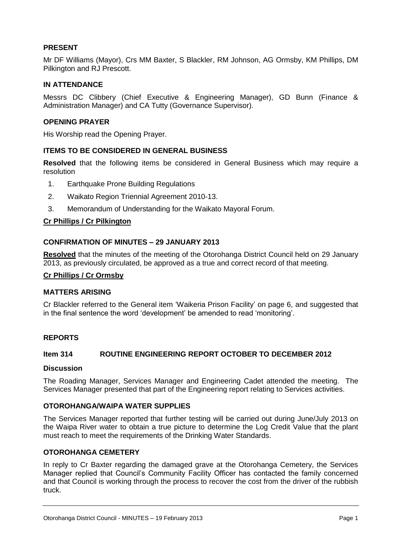#### **PRESENT**

Mr DF Williams (Mayor), Crs MM Baxter, S Blackler, RM Johnson, AG Ormsby, KM Phillips, DM Pilkington and RJ Prescott.

#### **IN ATTENDANCE**

Messrs DC Clibbery (Chief Executive & Engineering Manager), GD Bunn (Finance & Administration Manager) and CA Tutty (Governance Supervisor).

#### **OPENING PRAYER**

His Worship read the Opening Prayer.

#### **ITEMS TO BE CONSIDERED IN GENERAL BUSINESS**

**Resolved** that the following items be considered in General Business which may require a resolution

- 1. Earthquake Prone Building Regulations
- 2. Waikato Region Triennial Agreement 2010-13.
- 3. Memorandum of Understanding for the Waikato Mayoral Forum.

#### **Cr Phillips / Cr Pilkington**

#### **CONFIRMATION OF MINUTES – 29 JANUARY 2013**

**Resolved** that the minutes of the meeting of the Otorohanga District Council held on 29 January 2013, as previously circulated, be approved as a true and correct record of that meeting.

#### **Cr Phillips / Cr Ormsby**

#### **MATTERS ARISING**

Cr Blackler referred to the General item 'Waikeria Prison Facility' on page 6, and suggested that in the final sentence the word 'development' be amended to read 'monitoring'.

#### **REPORTS**

#### **Item 314 ROUTINE ENGINEERING REPORT OCTOBER TO DECEMBER 2012**

#### **Discussion**

The Roading Manager, Services Manager and Engineering Cadet attended the meeting. The Services Manager presented that part of the Engineering report relating to Services activities.

#### **OTOROHANGA/WAIPA WATER SUPPLIES**

The Services Manager reported that further testing will be carried out during June/July 2013 on the Waipa River water to obtain a true picture to determine the Log Credit Value that the plant must reach to meet the requirements of the Drinking Water Standards.

#### **OTOROHANGA CEMETERY**

In reply to Cr Baxter regarding the damaged grave at the Otorohanga Cemetery, the Services Manager replied that Council's Community Facility Officer has contacted the family concerned and that Council is working through the process to recover the cost from the driver of the rubbish truck.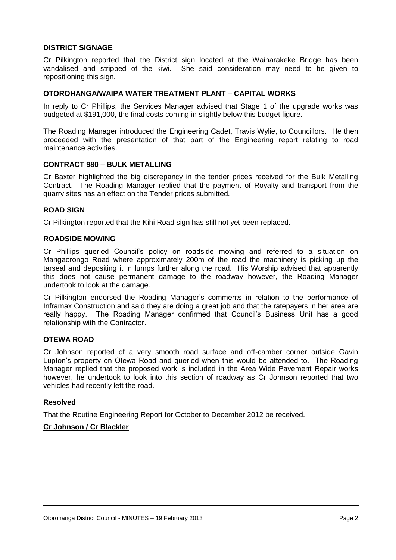#### **DISTRICT SIGNAGE**

Cr Pilkington reported that the District sign located at the Waiharakeke Bridge has been vandalised and stripped of the kiwi. She said consideration may need to be given to repositioning this sign.

#### **OTOROHANGA/WAIPA WATER TREATMENT PLANT – CAPITAL WORKS**

In reply to Cr Phillips, the Services Manager advised that Stage 1 of the upgrade works was budgeted at \$191,000, the final costs coming in slightly below this budget figure.

The Roading Manager introduced the Engineering Cadet, Travis Wylie, to Councillors. He then proceeded with the presentation of that part of the Engineering report relating to road maintenance activities.

#### **CONTRACT 980 – BULK METALLING**

Cr Baxter highlighted the big discrepancy in the tender prices received for the Bulk Metalling Contract. The Roading Manager replied that the payment of Royalty and transport from the quarry sites has an effect on the Tender prices submitted.

#### **ROAD SIGN**

Cr Pilkington reported that the Kihi Road sign has still not yet been replaced.

#### **ROADSIDE MOWING**

Cr Phillips queried Council's policy on roadside mowing and referred to a situation on Mangaorongo Road where approximately 200m of the road the machinery is picking up the tarseal and depositing it in lumps further along the road. His Worship advised that apparently this does not cause permanent damage to the roadway however, the Roading Manager undertook to look at the damage.

Cr Pilkington endorsed the Roading Manager's comments in relation to the performance of Inframax Construction and said they are doing a great job and that the ratepayers in her area are really happy. The Roading Manager confirmed that Council's Business Unit has a good relationship with the Contractor.

#### **OTEWA ROAD**

Cr Johnson reported of a very smooth road surface and off-camber corner outside Gavin Lupton's property on Otewa Road and queried when this would be attended to. The Roading Manager replied that the proposed work is included in the Area Wide Pavement Repair works however, he undertook to look into this section of roadway as Cr Johnson reported that two vehicles had recently left the road.

#### **Resolved**

That the Routine Engineering Report for October to December 2012 be received.

#### **Cr Johnson / Cr Blackler**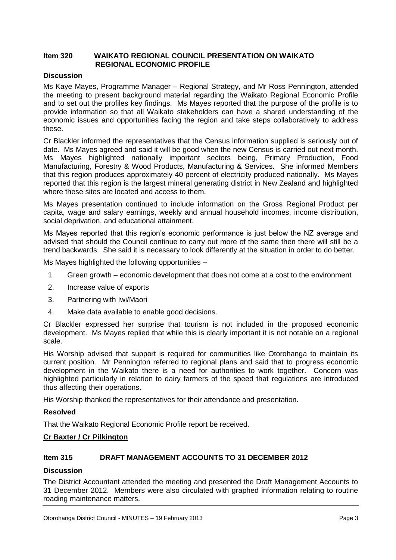#### **Item 320 WAIKATO REGIONAL COUNCIL PRESENTATION ON WAIKATO REGIONAL ECONOMIC PROFILE**

#### **Discussion**

Ms Kaye Mayes, Programme Manager – Regional Strategy, and Mr Ross Pennington, attended the meeting to present background material regarding the Waikato Regional Economic Profile and to set out the profiles key findings. Ms Mayes reported that the purpose of the profile is to provide information so that all Waikato stakeholders can have a shared understanding of the economic issues and opportunities facing the region and take steps collaboratively to address these.

Cr Blackler informed the representatives that the Census information supplied is seriously out of date. Ms Mayes agreed and said it will be good when the new Census is carried out next month. Ms Mayes highlighted nationally important sectors being, Primary Production, Food Manufacturing, Forestry & Wood Products, Manufacturing & Services. She informed Members that this region produces approximately 40 percent of electricity produced nationally. Ms Mayes reported that this region is the largest mineral generating district in New Zealand and highlighted where these sites are located and access to them.

Ms Mayes presentation continued to include information on the Gross Regional Product per capita, wage and salary earnings, weekly and annual household incomes, income distribution, social deprivation, and educational attainment.

Ms Mayes reported that this region's economic performance is just below the NZ average and advised that should the Council continue to carry out more of the same then there will still be a trend backwards. She said it is necessary to look differently at the situation in order to do better.

Ms Mayes highlighted the following opportunities –

- 1. Green growth economic development that does not come at a cost to the environment
- 2. Increase value of exports
- 3. Partnering with Iwi/Maori
- 4. Make data available to enable good decisions.

Cr Blackler expressed her surprise that tourism is not included in the proposed economic development. Ms Mayes replied that while this is clearly important it is not notable on a regional scale.

His Worship advised that support is required for communities like Otorohanga to maintain its current position. Mr Pennington referred to regional plans and said that to progress economic development in the Waikato there is a need for authorities to work together. Concern was highlighted particularly in relation to dairy farmers of the speed that regulations are introduced thus affecting their operations.

His Worship thanked the representatives for their attendance and presentation.

#### **Resolved**

That the Waikato Regional Economic Profile report be received.

#### **Cr Baxter / Cr Pilkington**

#### **Item 315 DRAFT MANAGEMENT ACCOUNTS TO 31 DECEMBER 2012**

#### **Discussion**

The District Accountant attended the meeting and presented the Draft Management Accounts to 31 December 2012. Members were also circulated with graphed information relating to routine roading maintenance matters.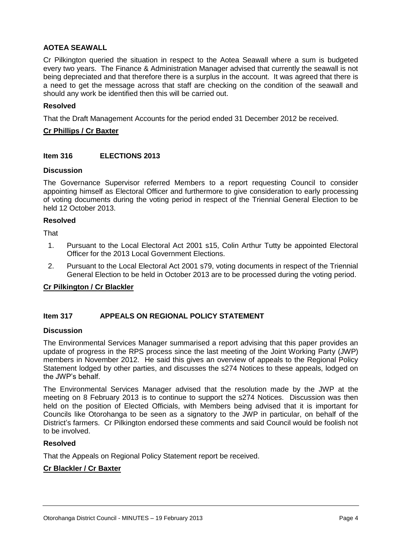#### **AOTEA SEAWALL**

Cr Pilkington queried the situation in respect to the Aotea Seawall where a sum is budgeted every two years. The Finance & Administration Manager advised that currently the seawall is not being depreciated and that therefore there is a surplus in the account. It was agreed that there is a need to get the message across that staff are checking on the condition of the seawall and should any work be identified then this will be carried out.

#### **Resolved**

That the Draft Management Accounts for the period ended 31 December 2012 be received.

#### **Cr Phillips / Cr Baxter**

#### **Item 316 ELECTIONS 2013**

#### **Discussion**

The Governance Supervisor referred Members to a report requesting Council to consider appointing himself as Electoral Officer and furthermore to give consideration to early processing of voting documents during the voting period in respect of the Triennial General Election to be held 12 October 2013.

#### **Resolved**

**That** 

- 1. Pursuant to the Local Electoral Act 2001 s15, Colin Arthur Tutty be appointed Electoral Officer for the 2013 Local Government Elections.
- 2. Pursuant to the Local Electoral Act 2001 s79, voting documents in respect of the Triennial General Election to be held in October 2013 are to be processed during the voting period.

#### **Cr Pilkington / Cr Blackler**

#### **Item 317 APPEALS ON REGIONAL POLICY STATEMENT**

#### **Discussion**

The Environmental Services Manager summarised a report advising that this paper provides an update of progress in the RPS process since the last meeting of the Joint Working Party (JWP) members in November 2012. He said this gives an overview of appeals to the Regional Policy Statement lodged by other parties, and discusses the s274 Notices to these appeals, lodged on the JWP's behalf.

The Environmental Services Manager advised that the resolution made by the JWP at the meeting on 8 February 2013 is to continue to support the s274 Notices. Discussion was then held on the position of Elected Officials, with Members being advised that it is important for Councils like Otorohanga to be seen as a signatory to the JWP in particular, on behalf of the District's farmers. Cr Pilkington endorsed these comments and said Council would be foolish not to be involved.

#### **Resolved**

That the Appeals on Regional Policy Statement report be received.

#### **Cr Blackler / Cr Baxter**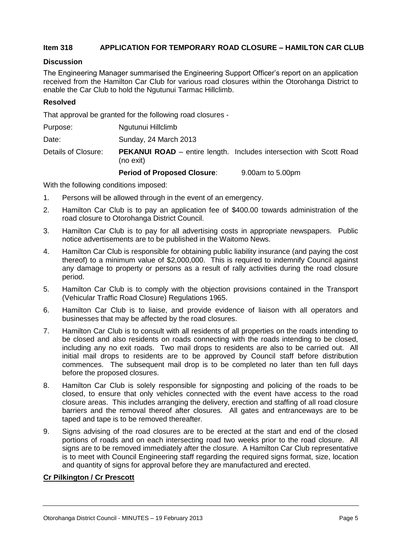#### **Item 318 APPLICATION FOR TEMPORARY ROAD CLOSURE – HAMILTON CAR CLUB**

#### **Discussion**

The Engineering Manager summarised the Engineering Support Officer's report on an application received from the Hamilton Car Club for various road closures within the Otorohanga District to enable the Car Club to hold the Ngutunui Tarmac Hillclimb.

#### **Resolved**

That approval be granted for the following road closures -

| Purpose: | Ngutunui Hillclimb |
|----------|--------------------|
|          |                    |

Date: Sunday, 24 March 2013

Details of Closure: **PEKANUI ROAD** – entire length. Includes intersection with Scott Road (no exit)

#### **Period of Proposed Closure**: 9.00am to 5.00pm

With the following conditions imposed:

- 1. Persons will be allowed through in the event of an emergency.
- 2. Hamilton Car Club is to pay an application fee of \$400.00 towards administration of the road closure to Otorohanga District Council.
- 3. Hamilton Car Club is to pay for all advertising costs in appropriate newspapers. Public notice advertisements are to be published in the Waitomo News.
- 4. Hamilton Car Club is responsible for obtaining public liability insurance (and paying the cost thereof) to a minimum value of \$2,000,000. This is required to indemnify Council against any damage to property or persons as a result of rally activities during the road closure period.
- 5. Hamilton Car Club is to comply with the objection provisions contained in the Transport (Vehicular Traffic Road Closure) Regulations 1965.
- 6. Hamilton Car Club is to liaise, and provide evidence of liaison with all operators and businesses that may be affected by the road closures.
- 7. Hamilton Car Club is to consult with all residents of all properties on the roads intending to be closed and also residents on roads connecting with the roads intending to be closed, including any no exit roads. Two mail drops to residents are also to be carried out. All initial mail drops to residents are to be approved by Council staff before distribution commences. The subsequent mail drop is to be completed no later than ten full days before the proposed closures.
- 8. Hamilton Car Club is solely responsible for signposting and policing of the roads to be closed, to ensure that only vehicles connected with the event have access to the road closure areas. This includes arranging the delivery, erection and staffing of all road closure barriers and the removal thereof after closures. All gates and entranceways are to be taped and tape is to be removed thereafter.
- 9. Signs advising of the road closures are to be erected at the start and end of the closed portions of roads and on each intersecting road two weeks prior to the road closure. All signs are to be removed immediately after the closure. A Hamilton Car Club representative is to meet with Council Engineering staff regarding the required signs format, size, location and quantity of signs for approval before they are manufactured and erected.

#### **Cr Pilkington / Cr Prescott**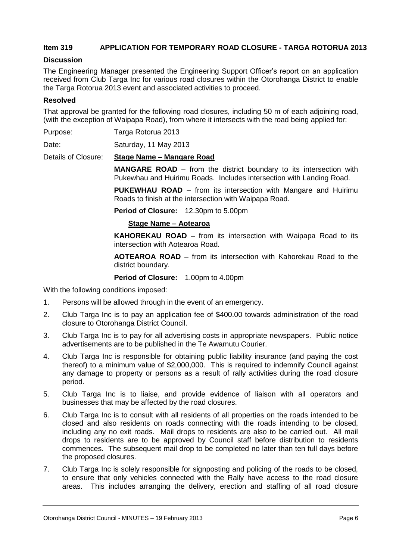#### **Item 319 APPLICATION FOR TEMPORARY ROAD CLOSURE - TARGA ROTORUA 2013**

#### **Discussion**

The Engineering Manager presented the Engineering Support Officer's report on an application received from Club Targa Inc for various road closures within the Otorohanga District to enable the Targa Rotorua 2013 event and associated activities to proceed.

#### **Resolved**

That approval be granted for the following road closures, including 50 m of each adjoining road, (with the exception of Waipapa Road), from where it intersects with the road being applied for:

Purpose: Targa Rotorua 2013

Date: Saturday, 11 May 2013

Details of Closure: **Stage Name – Mangare Road**

**MANGARE ROAD** – from the district boundary to its intersection with Pukewhau and Huirimu Roads. Includes intersection with Landing Road.

**PUKEWHAU ROAD** – from its intersection with Mangare and Huirimu Roads to finish at the intersection with Waipapa Road.

**Period of Closure:** 12.30pm to 5.00pm

#### **Stage Name – Aotearoa**

**KAHOREKAU ROAD** – from its intersection with Waipapa Road to its intersection with Aotearoa Road.

**AOTEAROA ROAD** – from its intersection with Kahorekau Road to the district boundary.

**Period of Closure:** 1.00pm to 4.00pm

With the following conditions imposed:

- 1. Persons will be allowed through in the event of an emergency.
- 2. Club Targa Inc is to pay an application fee of \$400.00 towards administration of the road closure to Otorohanga District Council.
- 3. Club Targa Inc is to pay for all advertising costs in appropriate newspapers. Public notice advertisements are to be published in the Te Awamutu Courier.
- 4. Club Targa Inc is responsible for obtaining public liability insurance (and paying the cost thereof) to a minimum value of \$2,000,000. This is required to indemnify Council against any damage to property or persons as a result of rally activities during the road closure period.
- 5. Club Targa Inc is to liaise, and provide evidence of liaison with all operators and businesses that may be affected by the road closures.
- 6. Club Targa Inc is to consult with all residents of all properties on the roads intended to be closed and also residents on roads connecting with the roads intending to be closed, including any no exit roads. Mail drops to residents are also to be carried out. All mail drops to residents are to be approved by Council staff before distribution to residents commences. The subsequent mail drop to be completed no later than ten full days before the proposed closures.
- 7. Club Targa Inc is solely responsible for signposting and policing of the roads to be closed, to ensure that only vehicles connected with the Rally have access to the road closure areas. This includes arranging the delivery, erection and staffing of all road closure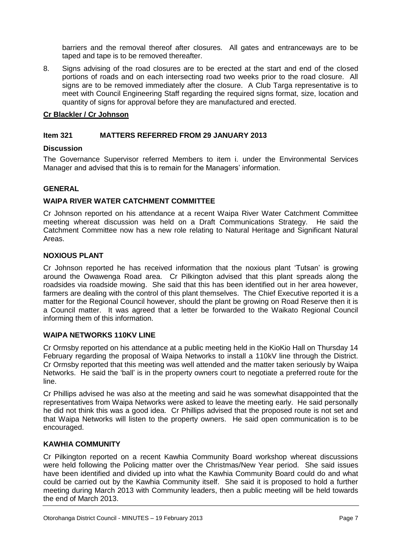barriers and the removal thereof after closures. All gates and entranceways are to be taped and tape is to be removed thereafter.

8. Signs advising of the road closures are to be erected at the start and end of the closed portions of roads and on each intersecting road two weeks prior to the road closure. All signs are to be removed immediately after the closure. A Club Targa representative is to meet with Council Engineering Staff regarding the required signs format, size, location and quantity of signs for approval before they are manufactured and erected.

#### **Cr Blackler / Cr Johnson**

#### **Item 321 MATTERS REFERRED FROM 29 JANUARY 2013**

#### **Discussion**

The Governance Supervisor referred Members to item i. under the Environmental Services Manager and advised that this is to remain for the Managers' information.

#### **GENERAL**

#### **WAIPA RIVER WATER CATCHMENT COMMITTEE**

Cr Johnson reported on his attendance at a recent Waipa River Water Catchment Committee meeting whereat discussion was held on a Draft Communications Strategy. He said the Catchment Committee now has a new role relating to Natural Heritage and Significant Natural Areas.

#### **NOXIOUS PLANT**

Cr Johnson reported he has received information that the noxious plant 'Tutsan' is growing around the Owawenga Road area. Cr Pilkington advised that this plant spreads along the roadsides via roadside mowing. She said that this has been identified out in her area however, farmers are dealing with the control of this plant themselves. The Chief Executive reported it is a matter for the Regional Council however, should the plant be growing on Road Reserve then it is a Council matter. It was agreed that a letter be forwarded to the Waikato Regional Council informing them of this information.

#### **WAIPA NETWORKS 110KV LINE**

Cr Ormsby reported on his attendance at a public meeting held in the KioKio Hall on Thursday 14 February regarding the proposal of Waipa Networks to install a 110kV line through the District. Cr Ormsby reported that this meeting was well attended and the matter taken seriously by Waipa Networks. He said the 'ball' is in the property owners court to negotiate a preferred route for the line.

Cr Phillips advised he was also at the meeting and said he was somewhat disappointed that the representatives from Waipa Networks were asked to leave the meeting early. He said personally he did not think this was a good idea. Cr Phillips advised that the proposed route is not set and that Waipa Networks will listen to the property owners. He said open communication is to be encouraged.

#### **KAWHIA COMMUNITY**

Cr Pilkington reported on a recent Kawhia Community Board workshop whereat discussions were held following the Policing matter over the Christmas/New Year period. She said issues have been identified and divided up into what the Kawhia Community Board could do and what could be carried out by the Kawhia Community itself. She said it is proposed to hold a further meeting during March 2013 with Community leaders, then a public meeting will be held towards the end of March 2013.